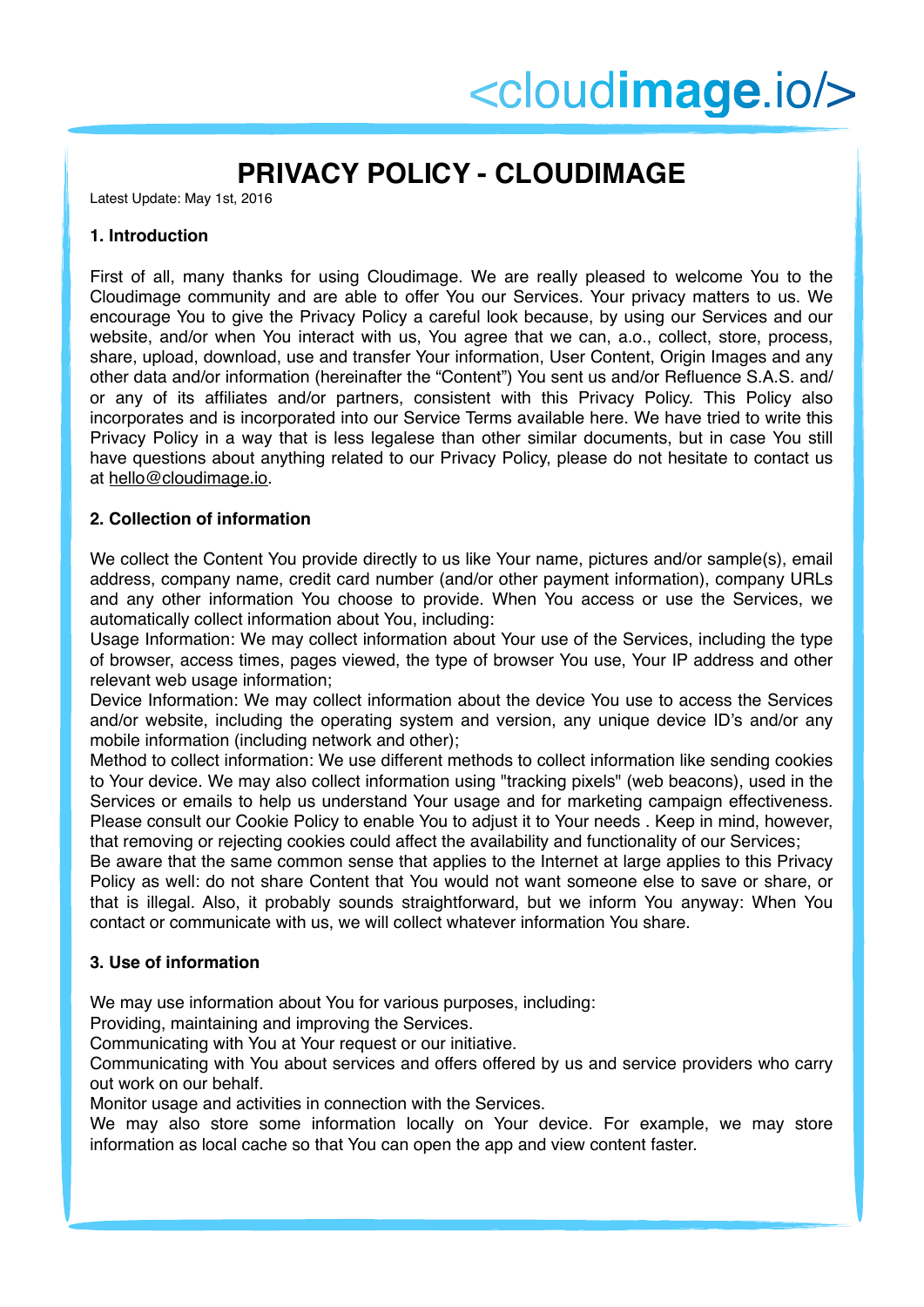# **PRIVACY POLICY - CLOUDIMAGE**

Latest Update: May 1st, 2016

### **1. Introduction**

First of all, many thanks for using Cloudimage. We are really pleased to welcome You to the Cloudimage community and are able to offer You our Services. Your privacy matters to us. We encourage You to give the Privacy Policy a careful look because, by using our Services and our website, and/or when You interact with us, You agree that we can, a.o., collect, store, process, share, upload, download, use and transfer Your information, User Content, Origin Images and any other data and/or information (hereinafter the "Content") You sent us and/or Refluence S.A.S. and/ or any of its affiliates and/or partners, consistent with this Privacy Policy. This Policy also incorporates and is incorporated into our Service Terms available here. We have tried to write this Privacy Policy in a way that is less legalese than other similar documents, but in case You still have questions about anything related to our Privacy Policy, please do not hesitate to contact us at [hello@cloudimage.io.](mailto:hello@cloudimage.io)

## **2. Collection of information**

We collect the Content You provide directly to us like Your name, pictures and/or sample(s), email address, company name, credit card number (and/or other payment information), company URLs and any other information You choose to provide. When You access or use the Services, we automatically collect information about You, including:

Usage Information: We may collect information about Your use of the Services, including the type of browser, access times, pages viewed, the type of browser You use, Your IP address and other relevant web usage information;

Device Information: We may collect information about the device You use to access the Services and/or website, including the operating system and version, any unique device ID's and/or any mobile information (including network and other);

Method to collect information: We use different methods to collect information like sending cookies to Your device. We may also collect information using "tracking pixels" (web beacons), used in the Services or emails to help us understand Your usage and for marketing campaign effectiveness. Please consult our Cookie Policy to enable You to adjust it to Your needs . Keep in mind, however, that removing or rejecting cookies could affect the availability and functionality of our Services;

Be aware that the same common sense that applies to the Internet at large applies to this Privacy Policy as well: do not share Content that You would not want someone else to save or share, or that is illegal. Also, it probably sounds straightforward, but we inform You anyway: When You contact or communicate with us, we will collect whatever information You share.

## **3. Use of information**

We may use information about You for various purposes, including:

Providing, maintaining and improving the Services.

Communicating with You at Your request or our initiative.

Communicating with You about services and offers offered by us and service providers who carry out work on our behalf.

Monitor usage and activities in connection with the Services.

We may also store some information locally on Your device. For example, we may store information as local cache so that You can open the app and view content faster.